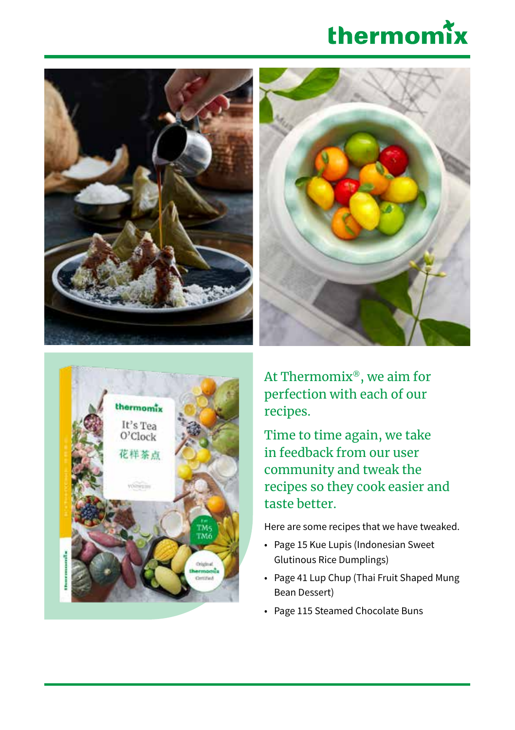







At Thermomix®, we aim for perfection with each of our recipes.

Time to time again, we take in feedback from our user community and tweak the recipes so they cook easier and taste better.

Here are some recipes that we have tweaked.

- Page 15 Kue Lupis (Indonesian Sweet Glutinous Rice Dumplings)
- Page 41 Lup Chup (Thai Fruit Shaped Mung Bean Dessert)
- Page 115 Steamed Chocolate Buns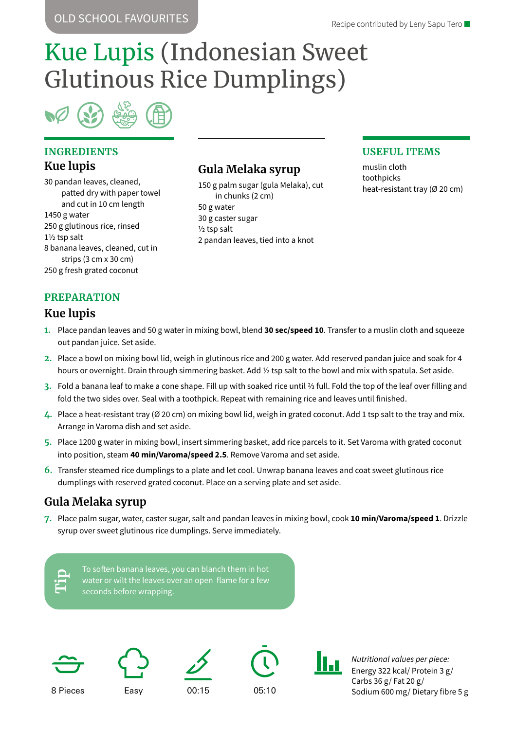# Kue Lupis (Indonesian Sweet Glutinous Rice Dumplings)

### **INGREDIENTS Kue lupis**

30 pandan leaves, cleaned, patted dry with paper towel and cut in 10 cm length 1450 g water 250 g glutinous rice, rinsed 1½ tsp salt 8 banana leaves, cleaned, cut in strips (3 cm x 30 cm) 250 g fresh grated coconut

### **Gula Melaka syrup**

150 g palm sugar (gula Melaka), cut in chunks (2 cm) 50 g water 30 g caster sugar ½ tsp salt 2 pandan leaves, tied into a knot

### **USEFUL ITEMS**

muslin cloth toothpicks heat-resistant tray (Ø 20 cm)

### **PREPARATION**

### **Kue lupis**

- **1.** Place pandan leaves and 50 g water in mixing bowl, blend **30 sec/speed 10**. Transfer to a muslin cloth and squeeze out pandan juice. Set aside.
- **2.** Place a bowl on mixing bowl lid, weigh in glutinous rice and 200 g water. Add reserved pandan juice and soak for 4 hours or overnight. Drain through simmering basket. Add 1/2 tsp salt to the bowl and mix with spatula. Set aside.
- **3.** Fold a banana leaf to make a cone shape. Fill up with soaked rice until ⅔ full. Fold the top of the leaf over filling and fold the two sides over. Seal with a toothpick. Repeat with remaining rice and leaves until finished.
- **4.** Place a heat-resistant tray (Ø 20 cm) on mixing bowl lid, weigh in grated coconut. Add 1 tsp salt to the tray and mix. Arrange in Varoma dish and set aside.
- **5.** Place 1200 g water in mixing bowl, insert simmering basket, add rice parcels to it. Set Varoma with grated coconut into position, steam **40 min/Varoma/speed 2.5**. Remove Varoma and set aside.
- **6.** Transfer steamed rice dumplings to a plate and let cool. Unwrap banana leaves and coat sweet glutinous rice dumplings with reserved grated coconut. Place on a serving plate and set aside.

### **Gula Melaka syrup**

**7.** Place palm sugar, water, caster sugar, salt and pandan leaves in mixing bowl, cook **10 min/Varoma/speed 1**. Drizzle syrup over sweet glutinous rice dumplings. Serve immediately.

|   | . .<br>۰. |  |
|---|-----------|--|
| ľ |           |  |
|   |           |  |
|   | -         |  |
|   |           |  |

water or wilt the leaves over an open flame for a few seconds before wrapping.











H-n

*Nutritional values per piece:* Energy 322 kcal/ Protein 3 g/ Carbs 36 g/ Fat 20 g/ Sodium 600 mg/ Dietary fibre 5 g

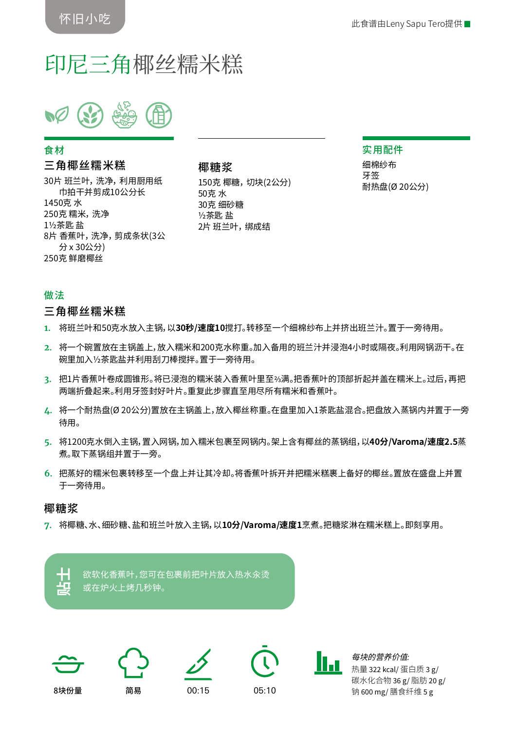## 印尼三角椰丝糯米糕

#### 食材

#### 三角椰丝糯米糕

30片 班兰叶, 洗净, 利用厨用纸 巾拍干并剪成10公分长 1450克 水 250克 糯米, 洗净 1½茶匙 盐 8片 香蕉叶, 洗净, 剪成条状(3公 分 x 30公分) 250克 鲜磨椰丝

### 椰糖浆 150克 椰糖, 切块(2公分)

50克 水 30克 细砂糖 ½茶匙 盐 2片班兰叶, 绑成结

#### 实用配件

细棉纱布 牙签 耐热盘(Ø 20公分)

#### 做法

#### 三角椰丝糯米糕

- **1.** 将班兰叶和50克水放入主锅,以**30秒/速度10**搅打。转移至一个细棉纱布上并挤出班兰汁。置于一旁待用。
- **2.** 将一个碗置放在主锅盖上,放入糯米和200克水称重。加入备用的班兰汁并浸泡4小时或隔夜。利用网锅沥干。在 碗里加入½茶匙盐并利用刮刀棒搅拌。置于一旁待用。
- **3.** 把1片香蕉叶卷成圆锥形。将已浸泡的糯米装入香蕉叶里至⅔满。把香蕉叶的顶部折起并盖在糯米上。过后,再把 两端折叠起来。利用牙签封好叶片。重复此步骤直至用尽所有糯米和香蕉叶。
- **4.** 将一个耐热盘(Ø 20公分)置放在主锅盖上,放入椰丝称重。在盘里加入1茶匙盐混合。把盘放入蒸锅内并置于一旁 待用。
- **5.** 将1200克水倒入主锅,置入网锅,加入糯米包裹至网锅内。架上含有椰丝的蒸锅组,以**40分/Varoma/速度2.5**蒸 煮。取下蒸锅组并置于一旁。
- **6.** 把蒸好的糯米包裹转移至一个盘上并让其冷却。将香蕉叶拆开并把糯米糕裹上备好的椰丝。置放在盛盘上并置 于一旁待用。

#### 椰糖浆

**7.** 将椰糖、水、细砂糖、盐和班兰叶放入主锅,以**10分/Varoma/速度1**烹煮。把糖浆淋在糯米糕上。即刻享用。

欲软化香蕉叶,您可在包裹前把叶片放入热水汆烫 **贴士** 或在炉火上烤几秒钟。











每块的营养价值*:* 热量 322 kcal/ 蛋白质 3 g/ 碳水化合物 36 g/ 脂肪 20 g/ 钠 600 mg/ 膳食纤维 5 g

8块份量 简易 00:15 05:10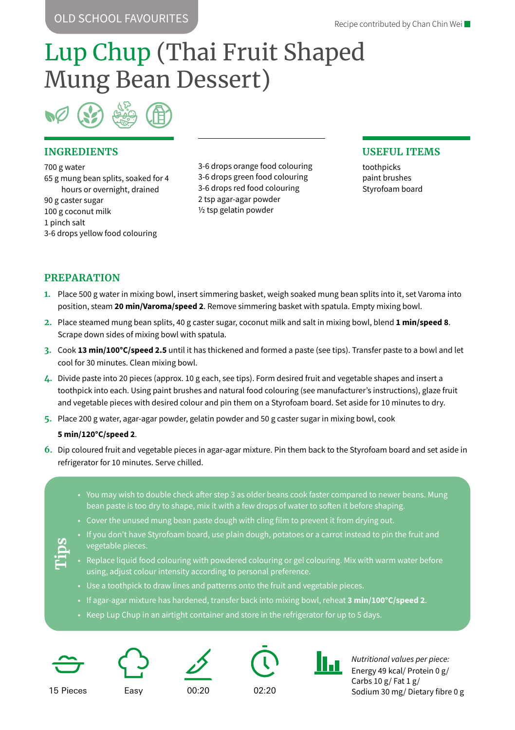OLD SCHOOL FAVOURITES

# Lup Chup (Thai Fruit Shaped Mung Bean Dessert)

#### **INGREDIENTS**

700 g water 65 g mung bean splits, soaked for 4 hours or overnight, drained 90 g caster sugar 100 g coconut milk 1 pinch salt 3-6 drops yellow food colouring

3-6 drops orange food colouring 3-6 drops green food colouring 3-6 drops red food colouring 2 tsp agar-agar powder ½ tsp gelatin powder

#### **USEFUL ITEMS**

toothpicks paint brushes Styrofoam board

#### **PREPARATION**

- **1.** Place 500 g water in mixing bowl, insert simmering basket, weigh soaked mung bean splits into it, set Varoma into position, steam **20 min/Varoma/speed 2**. Remove simmering basket with spatula. Empty mixing bowl.
- **2.** Place steamed mung bean splits, 40 g caster sugar, coconut milk and salt in mixing bowl, blend **1 min/speed 8**. Scrape down sides of mixing bowl with spatula.
- **3.** Cook **13 min/100°C/speed 2.5** until it has thickened and formed a paste (see tips). Transfer paste to a bowl and let cool for 30 minutes. Clean mixing bowl.
- **4.** Divide paste into 20 pieces (approx. 10 g each, see tips). Form desired fruit and vegetable shapes and insert a toothpick into each. Using paint brushes and natural food colouring (see manufacturer's instructions), glaze fruit and vegetable pieces with desired colour and pin them on a Styrofoam board. Set aside for 10 minutes to dry.
- **5.** Place 200 g water, agar-agar powder, gelatin powder and 50 g caster sugar in mixing bowl, cook

#### **5 min/120°C/speed 2**.

- **6.** Dip coloured fruit and vegetable pieces in agar-agar mixture. Pin them back to the Styrofoam board and set aside in refrigerator for 10 minutes. Serve chilled.
	- You may wish to double check after step 3 as older beans cook faster compared to newer beans. Mung bean paste is too dry to shape, mix it with a few drops of water to soften it before shaping.
	- Cover the unused mung bean paste dough with cling film to prevent it from drying out.
	- If you don't have Styrofoam board, use plain dough, potatoes or a carrot instead to pin the fruit and vegetable pieces.
	- Replace liquid food colouring with powdered colouring or gel colouring. Mix with warm water before using, adjust colour intensity according to personal preference.
	- Use a toothpick to draw lines and patterns onto the fruit and vegetable pieces.
	- If agar-agar mixture has hardened, transfer back into mixing bowl, reheat **3 min/100°C/speed 2**.
	- Keep Lup Chup in an airtight container and store in the refrigerator for up to 5 days.



**Tips**









*Nutritional values per piece:* Energy 49 kcal/ Protein 0 g/ Carbs  $10 g$  Fat  $1 g$ Sodium 30 mg/ Dietary fibre 0 g

15 Pieces Easy 00:20 02:20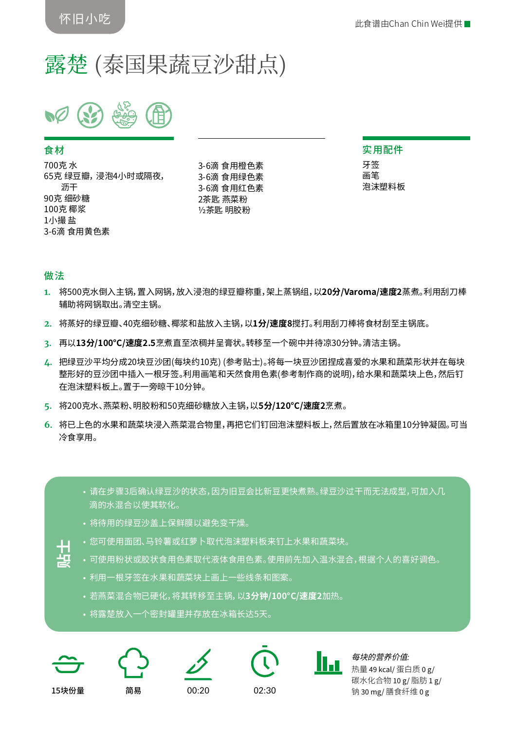# 露楚 (泰国果蔬豆沙甜点)

#### 食材

700克 水 65克 绿豆瓣, 浸泡4小时或隔夜, 沥干 90克 细砂糖 100克 椰浆 1小撮 盐 3-6滴 食用黄色素

3-6滴 食用橙色素 3-6滴 食用绿色素 3-6滴 食用红色素 2茶匙 燕菜粉 ½茶匙 明胶粉

实用配件 牙签 画笔 泡沫塑料板

#### 做法

- **1.** 将500克水倒入主锅,置入网锅,放入浸泡的绿豆瓣称重,架上蒸锅组,以**20分/Varoma/速度2**蒸煮。利用刮刀棒 辅助将网锅取出。清空主锅。
- **2.** 将蒸好的绿豆瓣、40克细砂糖、椰浆和盐放入主锅,以**1分/速度8**搅打。利用刮刀棒将食材刮至主锅底。
- **3.** 再以**13分/100°C/速度2.5**烹煮直至浓稠并呈膏状。转移至一个碗中并待凉30分钟。清洁主锅。
- **4.** 把绿豆沙平均分成20块豆沙团(每块约10克) (参考贴士)。将每一块豆沙团捏成喜爱的水果和蔬菜形状并在每块 整形好的豆沙团中插入一根牙签。利用画笔和天然食用色素(参考制作商的说明),给水果和蔬菜块上色,然后钉 在泡沫塑料板上。置于一旁晾干10分钟。
- **5.** 将200克水、燕菜粉、明胶粉和50克细砂糖放入主锅,以**5分/120°C/速度2**烹煮。
- **6.** 将已上色的水果和蔬菜块浸入燕菜混合物里,再把它们钉回泡沫塑料板上,然后置放在冰箱里10分钟凝固。可当 冷食享用。
	- 请在步骤3后确认绿豆沙的状态,因为旧豆会比新豆更快煮熟。绿豆沙过干而无法成型,可加入几 滴的水混合以使其软化。
	- 将待用的绿豆沙盖上保鲜膜以避免变干燥。
	- 您可使用面团、马铃薯或红萝卜取代泡沫塑料板来钉上水果和蔬菜块。
	- 可使用粉状或胶状食用色素取代液体食用色素。使用前先加入温水混合,根据个人的喜好调色。
	- 利用一根牙签在水果和蔬菜块上画上一些线条和图案。
	- 若燕菜混合物已硬化,将其转移至主锅,以**3分钟/100°C/速度2**加热。 15块份量 简易 00:20 02:30 **贴士**
		- 将露楚放入一个密封罐里并存放在冰箱长达5天。











每块的营养价值*:* 热量 49 kcal/ 蛋白质 0 g/ 碳水化合物 10 g/ 脂肪 1 g/ 钠 30 mg/ 膳食纤维 0 g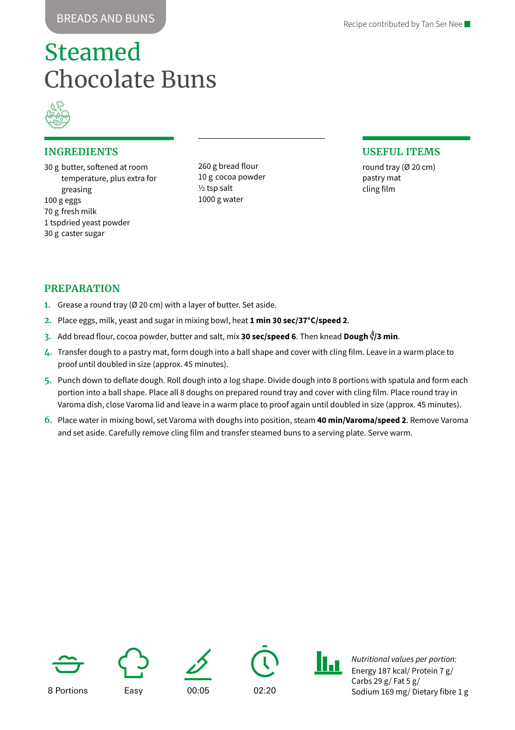# Steamed Chocolate Buns



#### **INGREDIENTS**

30 g butter, softened at room temperature, plus extra for greasing 100 g eggs 70 g fresh milk 1 tspdried yeast powder 30 g caster sugar

260 g bread flour 10 g cocoa powder ½ tsp salt 1000 g water

#### **USEFUL ITEMS**

round tray (Ø 20 cm) pastry mat cling film

#### **PREPARATION**

- **1.** Grease a round tray (Ø 20 cm) with a layer of butter. Set aside.
- **2.** Place eggs, milk, yeast and sugar in mixing bowl, heat **1 min 30 sec/37°C/speed 2**.
- **3.** Add bread flour, cocoa powder, butter and salt, mix **30 sec/speed 6**. Then knead **Dough /3 min**.
- **4.** Transfer dough to a pastry mat, form dough into a ball shape and cover with cling film. Leave in a warm place to proof until doubled in size (approx. 45 minutes).
- **5.** Punch down to deflate dough. Roll dough into a log shape. Divide dough into 8 portions with spatula and form each portion into a ball shape. Place all 8 doughs on prepared round tray and cover with cling film. Place round tray in Varoma dish, close Varoma lid and leave in a warm place to proof again until doubled in size (approx. 45 minutes).
- **6.** Place water in mixing bowl, set Varoma with doughs into position, steam **40 min/Varoma/speed 2**. Remove Varoma and set aside. Carefully remove cling film and transfer steamed buns to a serving plate. Serve warm.











*Nutritional values per portion:* Energy 187 kcal/ Protein 7 g/ Carbs 29 g/ Fat 5 g/ Sodium 169 mg/ Dietary fibre 1 g

8 Portions Easy 00:05 02:20